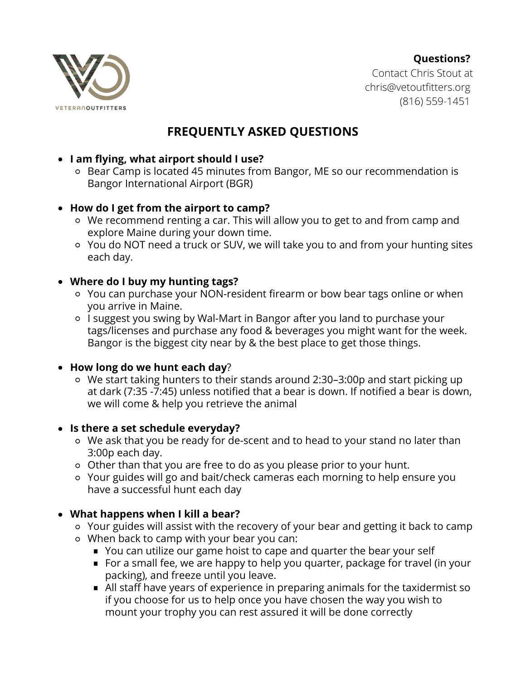#### **Questions?**



Contact Chris Stout at chris@vetoutfitters.org (816) 559-1451

# **FREQUENTLY ASKED QUESTIONS**

# **I am flying, what airport should I use?**

Bear Camp is located 45 minutes from Bangor, ME so our recommendation is Bangor International Airport (BGR)

#### **How do I get from the airport to camp?**

- We recommend renting a car. This will allow you to get to and from camp and explore Maine during your down time.
- You do NOT need a truck or SUV, we will take you to and from your hunting sites each day.

#### **Where do I buy my hunting tags?**

- You can purchase your NON-resident firearm or bow bear tags online or when you arrive in Maine.
- I suggest you swing by Wal-Mart in Bangor after you land to purchase your tags/licenses and purchase any food & beverages you might want for the week. Bangor is the biggest city near by & the best place to get those things.

#### **How long do we hunt each day**?

We start taking hunters to their stands around 2:30–3:00p and start picking up at dark (7:35 -7:45) unless notified that a bear is down. If notified a bear is down, we will come & help you retrieve the animal

# **Is there a set schedule everyday?**

- We ask that you be ready for de-scent and to head to your stand no later than 3:00p each day.
- Other than that you are free to do as you please prior to your hunt.
- Your guides will go and bait/check cameras each morning to help ensure you have a successful hunt each day

# **What happens when I kill a bear?**

- Your guides will assist with the recovery of your bear and getting it back to camp When back to camp with your bear you can:
	- You can utilize our game hoist to cape and quarter the bear your self
	- For a small fee, we are happy to help you quarter, package for travel (in your packing), and freeze until you leave.
	- All staff have years of experience in preparing animals for the taxidermist so if you choose for us to help once you have chosen the way you wish to mount your trophy you can rest assured it will be done correctly